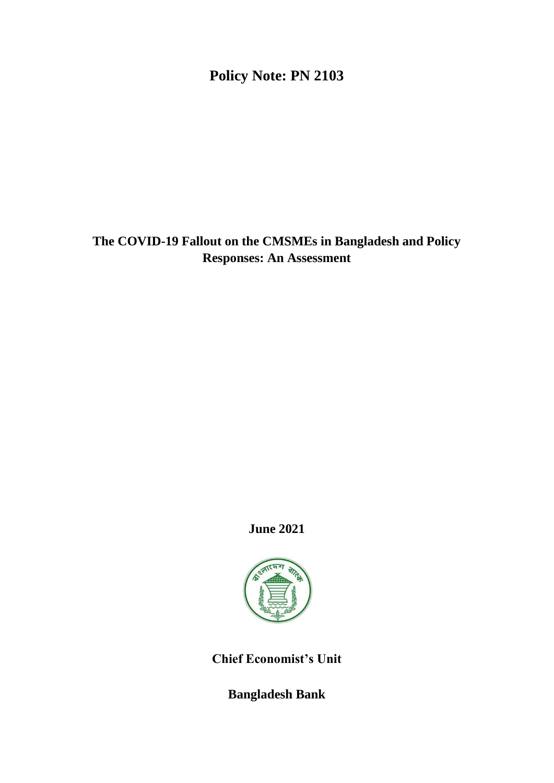# **Policy Note: PN 2103**

# **The COVID-19 Fallout on the CMSMEs in Bangladesh and Policy Responses: An Assessment**

# **June 2021**



**Chief Economist's Unit**

**Bangladesh Bank**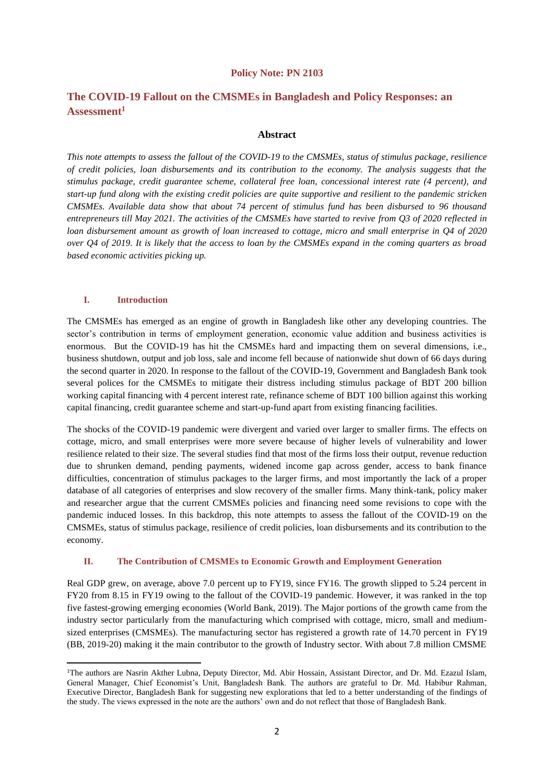#### **Policy Note: PN 2103**

# **The COVID-19 Fallout on the CMSMEs in Bangladesh and Policy Responses: an Assessment<sup>1</sup>**

#### **Abstract**

*This note attempts to assess the fallout of the COVID-19 to the CMSMEs, status of stimulus package, resilience of credit policies, loan disbursements and its contribution to the economy. The analysis suggests that the stimulus package, credit guarantee scheme, collateral free loan, concessional interest rate (4 percent), and start-up fund along with the existing credit policies are quite supportive and resilient to the pandemic stricken CMSMEs. Available data show that about 74 percent of stimulus fund has been disbursed to 96 thousand entrepreneurs till May 2021. The activities of the CMSMEs have started to revive from Q3 of 2020 reflected in loan disbursement amount as growth of loan increased to cottage, micro and small enterprise in Q4 of 2020 over Q4 of 2019. It is likely that the access to loan by the CMSMEs expand in the coming quarters as broad based economic activities picking up.* 

#### **I. Introduction**

The CMSMEs has emerged as an engine of growth in Bangladesh like other any developing countries. The sector's contribution in terms of employment generation, economic value addition and business activities is enormous. But the COVID-19 has hit the CMSMEs hard and impacting them on several dimensions, i.e., business shutdown, output and job loss, sale and income fell because of nationwide shut down of 66 days during the second quarter in 2020. In response to the fallout of the COVID-19, Government and Bangladesh Bank took several polices for the CMSMEs to mitigate their distress including stimulus package of BDT 200 billion working capital financing with 4 percent interest rate, refinance scheme of BDT 100 billion against this working capital financing, credit guarantee scheme and start-up-fund apart from existing financing facilities.

The shocks of the COVID-19 pandemic were divergent and varied over larger to smaller firms. The effects on cottage, micro, and small enterprises were more severe because of higher levels of vulnerability and lower resilience related to their size. The several studies find that most of the firms loss their output, revenue reduction due to shrunken demand, pending payments, widened income gap across gender, access to bank finance difficulties, concentration of stimulus packages to the larger firms, and most importantly the lack of a proper database of all categories of enterprises and slow recovery of the smaller firms. Many think-tank, policy maker and researcher argue that the current CMSMEs policies and financing need some revisions to cope with the pandemic induced losses. In this backdrop, this note attempts to assess the fallout of the COVID-19 on the CMSMEs, status of stimulus package, resilience of credit policies, loan disbursements and its contribution to the economy.

#### **II. The Contribution of CMSMEs to Economic Growth and Employment Generation**

Real GDP grew, on average, above 7.0 percent up to FY19, since FY16. The growth slipped to 5.24 percent in FY20 from 8.15 in FY19 owing to the fallout of the COVID-19 pandemic. However, it was ranked in the top five fastest-growing emerging economies (World Bank, 2019). The Major portions of the growth came from the industry sector particularly from the manufacturing which comprised with cottage, micro, small and mediumsized enterprises (CMSMEs). The manufacturing sector has registered a growth rate of 14.70 percent in FY19 (BB, 2019-20) making it the main contributor to the growth of Industry sector. With about 7.8 million CMSME

<sup>&</sup>lt;sup>1</sup>The authors are Nasrin Akther Lubna, Deputy Director, Md. Abir Hossain, Assistant Director, and Dr. Md. Ezazul Islam, General Manager, Chief Economist's Unit, Bangladesh Bank. The authors are grateful to Dr. Md. Habibur Rahman, Executive Director, Bangladesh Bank for suggesting new explorations that led to a better understanding of the findings of the study. The views expressed in the note are the authors' own and do not reflect that those of Bangladesh Bank.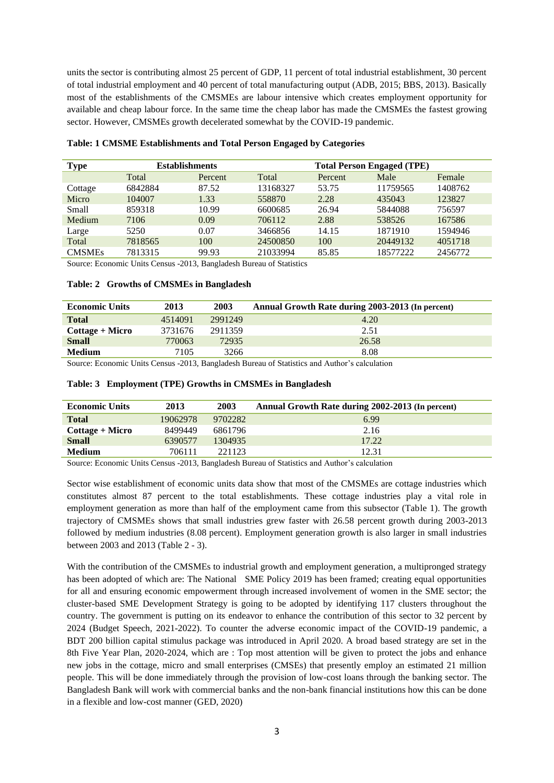units the sector is contributing almost 25 percent of GDP, 11 percent of total industrial establishment, 30 percent of total industrial employment and 40 percent of total manufacturing output (ADB, 2015; BBS, 2013). Basically most of the establishments of the CMSMEs are labour intensive which creates employment opportunity for available and cheap labour force. In the same time the cheap labor has made the CMSMEs the fastest growing sector. However, CMSMEs growth decelerated somewhat by the COVID-19 pandemic.

| <b>Type</b>   | <b>Establishments</b> |         |          | <b>Total Person Engaged (TPE)</b> |          |         |  |
|---------------|-----------------------|---------|----------|-----------------------------------|----------|---------|--|
|               | Total                 | Percent | Total    | Percent                           | Male     | Female  |  |
| Cottage       | 6842884               | 87.52   | 13168327 | 53.75                             | 11759565 | 1408762 |  |
| Micro         | 104007                | 1.33    | 558870   | 2.28                              | 435043   | 123827  |  |
| <b>Small</b>  | 859318                | 10.99   | 6600685  | 26.94                             | 5844088  | 756597  |  |
| Medium        | 7106                  | 0.09    | 706112   | 2.88                              | 538526   | 167586  |  |
| Large         | 5250                  | 0.07    | 3466856  | 14.15                             | 1871910  | 1594946 |  |
| Total         | 7818565               | 100     | 24500850 | 100                               | 20449132 | 4051718 |  |
| <b>CMSMEs</b> | 7813315               | 99.93   | 21033994 | 85.85                             | 18577222 | 2456772 |  |

### **Table: 1 CMSME Establishments and Total Person Engaged by Categories**

Source: Economic Units Census -2013, Bangladesh Bureau of Statistics

#### **Table: 2 Growths of CMSMEs in Bangladesh**

| <b>Economic Units</b> | 2013    | 2003    | Annual Growth Rate during 2003-2013 (In percent) |
|-----------------------|---------|---------|--------------------------------------------------|
| <b>Total</b>          | 4514091 | 2991249 | 4.20                                             |
| Cottage + Micro       | 3731676 | 2911359 | 2.51                                             |
| <b>Small</b>          | 770063  | 72935   | 26.58                                            |
| <b>Medium</b>         | 7105    | 3266    | 8.08                                             |

Source: Economic Units Census -2013, Bangladesh Bureau of Statistics and Author's calculation

#### **Table: 3 Employment (TPE) Growths in CMSMEs in Bangladesh**

| <b>Economic Units</b> | 2013     | 2003    | Annual Growth Rate during 2002-2013 (In percent) |
|-----------------------|----------|---------|--------------------------------------------------|
| <b>Total</b>          | 19062978 | 9702282 | 6.99                                             |
| Cottage + Micro       | 8499449  | 6861796 | 2.16                                             |
| <b>Small</b>          | 6390577  | 1304935 | 17.22                                            |
| <b>Medium</b>         | 706111   | 221123  | 12.31                                            |

Source: Economic Units Census -2013, Bangladesh Bureau of Statistics and Author's calculation

Sector wise establishment of economic units data show that most of the CMSMEs are cottage industries which constitutes almost 87 percent to the total establishments. These cottage industries play a vital role in employment generation as more than half of the employment came from this subsector (Table 1). The growth trajectory of CMSMEs shows that small industries grew faster with 26.58 percent growth during 2003-2013 followed by medium industries (8.08 percent). Employment generation growth is also larger in small industries between 2003 and 2013 (Table 2 - 3).

With the contribution of the CMSMEs to industrial growth and employment generation, a multipronged strategy has been adopted of which are: The National SME Policy 2019 has been framed; creating equal opportunities for all and ensuring economic empowerment through increased involvement of women in the SME sector; the cluster-based SME Development Strategy is going to be adopted by identifying 117 clusters throughout the country. The government is putting on its endeavor to enhance the contribution of this sector to 32 percent by 2024 (Budget Speech, 2021-2022). To counter the adverse economic impact of the COVID-19 pandemic, a BDT 200 billion capital stimulus package was introduced in April 2020. A broad based strategy are set in the 8th Five Year Plan, 2020-2024, which are : Top most attention will be given to protect the jobs and enhance new jobs in the cottage, micro and small enterprises (CMSEs) that presently employ an estimated 21 million people. This will be done immediately through the provision of low-cost loans through the banking sector. The Bangladesh Bank will work with commercial banks and the non-bank financial institutions how this can be done in a flexible and low-cost manner (GED, 2020)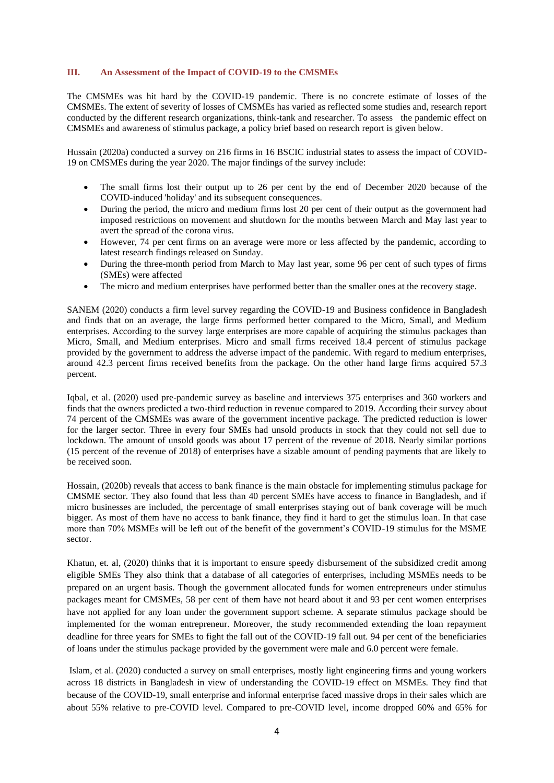#### **III. An Assessment of the Impact of COVID-19 to the CMSMEs**

The CMSMEs was hit hard by the COVID-19 pandemic. There is no concrete estimate of losses of the CMSMEs. The extent of severity of losses of CMSMEs has varied as reflected some studies and, research report conducted by the different research organizations, think-tank and researcher. To assess the pandemic effect on CMSMEs and awareness of stimulus package, a policy brief based on research report is given below.

Hussain (2020a) conducted a survey on 216 firms in 16 BSCIC industrial states to assess the impact of COVID-19 on CMSMEs during the year 2020. The major findings of the survey include:

- The small firms lost their output up to 26 per cent by the end of December 2020 because of the COVID-induced 'holiday' and its subsequent consequences.
- During the period, the micro and medium firms lost 20 per cent of their output as the government had imposed restrictions on movement and shutdown for the months between March and May last year to avert the spread of the corona virus.
- However, 74 per cent firms on an average were more or less affected by the pandemic, according to latest research findings released on Sunday.
- During the three-month period from March to May last year, some 96 per cent of such types of firms (SMEs) were affected
- The micro and medium enterprises have performed better than the smaller ones at the recovery stage.

SANEM (2020) conducts a firm level survey regarding the COVID-19 and Business confidence in Bangladesh and finds that on an average, the large firms performed better compared to the Micro, Small, and Medium enterprises. According to the survey large enterprises are more capable of acquiring the stimulus packages than Micro, Small, and Medium enterprises. Micro and small firms received 18.4 percent of stimulus package provided by the government to address the adverse impact of the pandemic. With regard to medium enterprises, around 42.3 percent firms received benefits from the package. On the other hand large firms acquired 57.3 percent.

Iqbal, et al. (2020) used pre-pandemic survey as baseline and interviews 375 enterprises and 360 workers and finds that the owners predicted a two-third reduction in revenue compared to 2019. According their survey about 74 percent of the CMSMEs was aware of the government incentive package. The predicted reduction is lower for the larger sector. Three in every four SMEs had unsold products in stock that they could not sell due to lockdown. The amount of unsold goods was about 17 percent of the revenue of 2018. Nearly similar portions (15 percent of the revenue of 2018) of enterprises have a sizable amount of pending payments that are likely to be received soon.

Hossain, (2020b) reveals that access to bank finance is the main obstacle for implementing stimulus package for CMSME sector. They also found that less than 40 percent SMEs have access to finance in Bangladesh, and if micro businesses are included, the percentage of small enterprises staying out of bank coverage will be much bigger. As most of them have no access to bank finance, they find it hard to get the stimulus loan. In that case more than 70% MSMEs will be left out of the benefit of the government's COVID-19 stimulus for the MSME sector.

Khatun, et. al, (2020) thinks that it is important to ensure speedy disbursement of the subsidized credit among eligible SMEs They also think that a database of all categories of enterprises, including MSMEs needs to be prepared on an urgent basis. Though the government allocated funds for women entrepreneurs under stimulus packages meant for CMSMEs, 58 per cent of them have not heard about it and 93 per cent women enterprises have not applied for any loan under the government support scheme. A separate stimulus package should be implemented for the woman entrepreneur. Moreover, the study recommended extending the loan repayment deadline for three years for SMEs to fight the fall out of the COVID-19 fall out. 94 per cent of the beneficiaries of loans under the stimulus package provided by the government were male and 6.0 percent were female.

Islam, et al. (2020) conducted a survey on small enterprises, mostly light engineering firms and young workers across 18 districts in Bangladesh in view of understanding the COVID-19 effect on MSMEs. They find that because of the COVID-19, small enterprise and informal enterprise faced massive drops in their sales which are about 55% relative to pre-COVID level. Compared to pre-COVID level, income dropped 60% and 65% for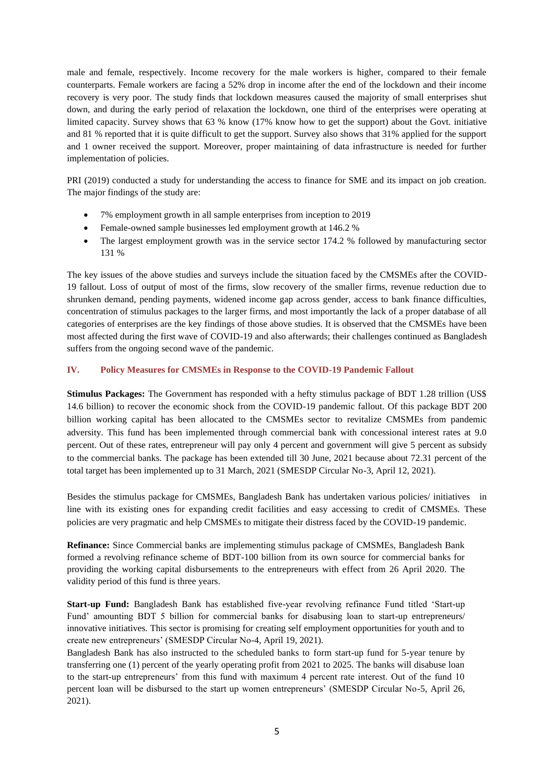male and female, respectively. Income recovery for the male workers is higher, compared to their female counterparts. Female workers are facing a 52% drop in income after the end of the lockdown and their income recovery is very poor. The study finds that lockdown measures caused the majority of small enterprises shut down, and during the early period of relaxation the lockdown, one third of the enterprises were operating at limited capacity. Survey shows that 63 % know (17% know how to get the support) about the Govt. initiative and 81 % reported that it is quite difficult to get the support. Survey also shows that 31% applied for the support and 1 owner received the support. Moreover, proper maintaining of data infrastructure is needed for further implementation of policies.

PRI (2019) conducted a study for understanding the access to finance for SME and its impact on job creation. The major findings of the study are:

- 7% employment growth in all sample enterprises from inception to 2019
- Female-owned sample businesses led employment growth at 146.2 %
- The largest employment growth was in the service sector 174.2 % followed by manufacturing sector 131 %

The key issues of the above studies and surveys include the situation faced by the CMSMEs after the COVID-19 fallout. Loss of output of most of the firms, slow recovery of the smaller firms, revenue reduction due to shrunken demand, pending payments, widened income gap across gender, access to bank finance difficulties, concentration of stimulus packages to the larger firms, and most importantly the lack of a proper database of all categories of enterprises are the key findings of those above studies. It is observed that the CMSMEs have been most affected during the first wave of COVID-19 and also afterwards; their challenges continued as Bangladesh suffers from the ongoing second wave of the pandemic.

#### **IV. Policy Measures for CMSMEs in Response to the COVID-19 Pandemic Fallout**

**Stimulus Packages:** The Government has responded with a hefty stimulus package of BDT 1.28 trillion (US\$ 14.6 billion) to recover the economic shock from the COVID-19 pandemic fallout. Of this package BDT 200 billion working capital has been allocated to the CMSMEs sector to revitalize CMSMEs from pandemic adversity. This fund has been implemented through commercial bank with concessional interest rates at 9.0 percent. Out of these rates, entrepreneur will pay only 4 percent and government will give 5 percent as subsidy to the commercial banks. The package has been extended till 30 June, 2021 because about 72.31 percent of the total target has been implemented up to 31 March, 2021 (SMESDP Circular No-3, April 12, 2021).

Besides the stimulus package for CMSMEs, Bangladesh Bank has undertaken various policies/ initiatives in line with its existing ones for expanding credit facilities and easy accessing to credit of CMSMEs. These policies are very pragmatic and help CMSMEs to mitigate their distress faced by the COVID-19 pandemic.

**Refinance:** Since Commercial banks are implementing stimulus package of CMSMEs, Bangladesh Bank formed a revolving refinance scheme of BDT-100 billion from its own source for commercial banks for providing the working capital disbursements to the entrepreneurs with effect from 26 April 2020. The validity period of this fund is three years.

**Start-up Fund:** Bangladesh Bank has established five-year revolving refinance Fund titled 'Start-up Fund' amounting BDT 5 billion for commercial banks for disabusing loan to start-up entrepreneurs/ innovative initiatives. This sector is promising for creating self employment opportunities for youth and to create new entrepreneurs' (SMESDP Circular No-4, April 19, 2021).

Bangladesh Bank has also instructed to the scheduled banks to form start-up fund for 5-year tenure by transferring one (1) percent of the yearly operating profit from 2021 to 2025. The banks will disabuse loan to the start-up entrepreneurs' from this fund with maximum 4 percent rate interest. Out of the fund 10 percent loan will be disbursed to the start up women entrepreneurs' (SMESDP Circular No-5, April 26, 2021).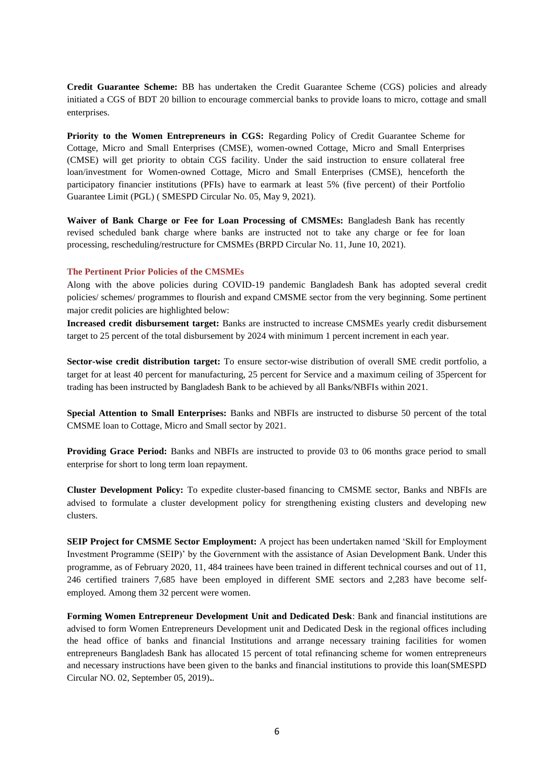**Credit Guarantee Scheme:** BB has undertaken the Credit Guarantee Scheme (CGS) policies and already initiated a CGS of BDT 20 billion to encourage commercial banks to provide loans to micro, cottage and small enterprises.

Priority to the Women Entrepreneurs in CGS: Regarding Policy of Credit Guarantee Scheme for Cottage, Micro and Small Enterprises (CMSE), women-owned Cottage, Micro and Small Enterprises (CMSE) will get priority to obtain CGS facility. Under the said instruction to ensure collateral free loan/investment for Women-owned Cottage, Micro and Small Enterprises (CMSE), henceforth the participatory financier institutions (PFIs) have to earmark at least 5% (five percent) of their Portfolio Guarantee Limit (PGL) ( SMESPD Circular No. 05, May 9, 2021).

**Waiver of Bank Charge or Fee for Loan Processing of CMSMEs:** Bangladesh Bank has recently revised scheduled bank charge where banks are instructed not to take any charge or fee for loan processing, rescheduling/restructure for CMSMEs (BRPD Circular No. 11, June 10, 2021).

### **The Pertinent Prior Policies of the CMSMEs**

Along with the above policies during COVID-19 pandemic Bangladesh Bank has adopted several credit policies/ schemes/ programmes to flourish and expand CMSME sector from the very beginning. Some pertinent major credit policies are highlighted below:

**Increased credit disbursement target:** Banks are instructed to increase CMSMEs yearly credit disbursement target to 25 percent of the total disbursement by 2024 with minimum 1 percent increment in each year.

**Sector-wise credit distribution target:** To ensure sector-wise distribution of overall SME credit portfolio, a target for at least 40 percent for manufacturing, 25 percent for Service and a maximum ceiling of 35percent for trading has been instructed by Bangladesh Bank to be achieved by all Banks/NBFIs within 2021.

**Special Attention to Small Enterprises:** Banks and NBFIs are instructed to disburse 50 percent of the total CMSME loan to Cottage, Micro and Small sector by 2021.

**Providing Grace Period:** Banks and NBFIs are instructed to provide 03 to 06 months grace period to small enterprise for short to long term loan repayment.

**Cluster Development Policy:** To expedite cluster-based financing to CMSME sector, Banks and NBFIs are advised to formulate a cluster development policy for strengthening existing clusters and developing new clusters.

**SEIP Project for CMSME Sector Employment:** A project has been undertaken named 'Skill for Employment Investment Programme (SEIP)' by the Government with the assistance of Asian Development Bank. Under this programme, as of February 2020, 11, 484 trainees have been trained in different technical courses and out of 11, 246 certified trainers 7,685 have been employed in different SME sectors and 2,283 have become selfemployed. Among them 32 percent were women.

**Forming Women Entrepreneur Development Unit and Dedicated Desk**: Bank and financial institutions are advised to form Women Entrepreneurs Development unit and Dedicated Desk in the regional offices including the head office of banks and financial Institutions and arrange necessary training facilities for women entrepreneurs Bangladesh Bank has allocated 15 percent of total refinancing scheme for women entrepreneurs and necessary instructions have been given to the banks and financial institutions to provide this loan(SMESPD Circular NO. 02, September 05, 2019)**.**.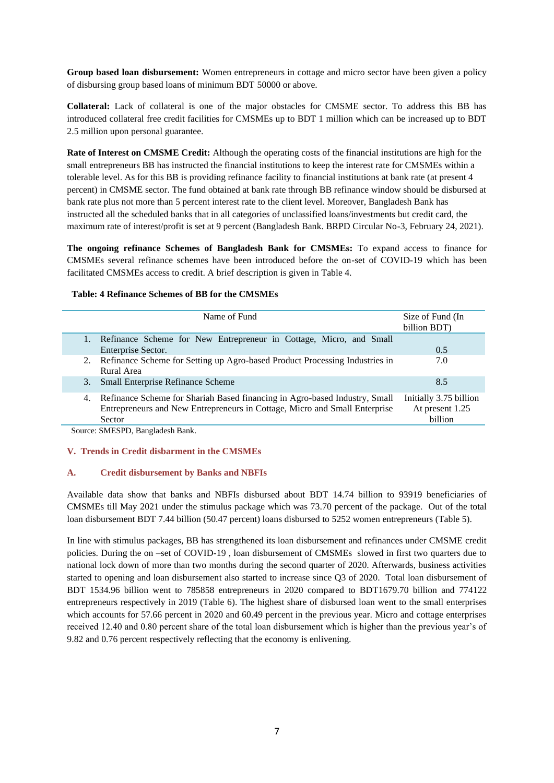**Group based loan disbursement:** Women entrepreneurs in cottage and micro sector have been given a policy of disbursing group based loans of minimum BDT 50000 or above.

**Collateral:** Lack of collateral is one of the major obstacles for CMSME sector. To address this BB has introduced collateral free credit facilities for CMSMEs up to BDT 1 million which can be increased up to BDT 2.5 million upon personal guarantee.

**Rate of Interest on CMSME Credit:** Although the operating costs of the financial institutions are high for the small entrepreneurs BB has instructed the financial institutions to keep the interest rate for CMSMEs within a tolerable level. As for this BB is providing refinance facility to financial institutions at bank rate (at present 4 percent) in CMSME sector. The fund obtained at bank rate through BB refinance window should be disbursed at bank rate plus not more than 5 percent interest rate to the client level. Moreover, Bangladesh Bank has instructed all the scheduled banks that in all categories of unclassified loans/investments but credit card, the maximum rate of interest/profit is set at 9 percent (Bangladesh Bank. BRPD Circular No-3, February 24, 2021).

**The ongoing refinance Schemes of Bangladesh Bank for CMSMEs:** To expand access to finance for CMSMEs several refinance schemes have been introduced before the on-set of COVID-19 which has been facilitated CMSMEs access to credit. A brief description is given in Table 4.

### **Table: 4 Refinance Schemes of BB for the CMSMEs**

|    | Name of Fund                                                                | Size of Fund (In<br>billion BDT) |
|----|-----------------------------------------------------------------------------|----------------------------------|
|    | Refinance Scheme for New Entrepreneur in Cottage, Micro, and Small          |                                  |
|    | Enterprise Sector.                                                          | 0.5                              |
| 2. | Refinance Scheme for Setting up Agro-based Product Processing Industries in | 7.0                              |
|    | Rural Area                                                                  |                                  |
| 3. | <b>Small Enterprise Refinance Scheme</b>                                    | 8.5                              |
| 4. | Refinance Scheme for Shariah Based financing in Agro-based Industry, Small  | Initially 3.75 billion           |
|    | Entrepreneurs and New Entrepreneurs in Cottage, Micro and Small Enterprise  | At present 1.25                  |
|    | Sector                                                                      | billion                          |
|    | 0.0100000011101                                                             |                                  |

Source: SMESPD, Bangladesh Bank.

### **V. Trends in Credit disbarment in the CMSMEs**

### **A. Credit disbursement by Banks and NBFIs**

Available data show that banks and NBFIs disbursed about BDT 14.74 billion to 93919 beneficiaries of CMSMEs till May 2021 under the stimulus package which was 73.70 percent of the package. Out of the total loan disbursement BDT 7.44 billion (50.47 percent) loans disbursed to 5252 women entrepreneurs (Table 5).

In line with stimulus packages, BB has strengthened its loan disbursement and refinances under CMSME credit policies. During the on –set of COVID-19 , loan disbursement of CMSMEs slowed in first two quarters due to national lock down of more than two months during the second quarter of 2020. Afterwards, business activities started to opening and loan disbursement also started to increase since Q3 of 2020. Total loan disbursement of BDT 1534.96 billion went to 785858 entrepreneurs in 2020 compared to BDT1679.70 billion and 774122 entrepreneurs respectively in 2019 (Table 6). The highest share of disbursed loan went to the small enterprises which accounts for 57.66 percent in 2020 and 60.49 percent in the previous year. Micro and cottage enterprises received 12.40 and 0.80 percent share of the total loan disbursement which is higher than the previous year's of 9.82 and 0.76 percent respectively reflecting that the economy is enlivening.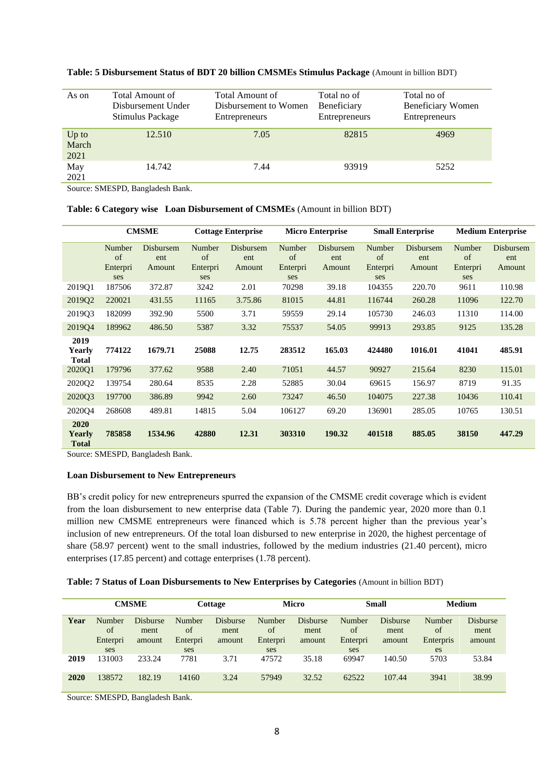| As on                    | Total Amount of<br>Disbursement Under<br>Stimulus Package | Total Amount of<br>Disbursement to Women<br>Entrepreneurs | Total no of<br>Beneficiary<br><b>Entrepreneurs</b> | Total no of<br>Beneficiary Women<br>Entrepreneurs |
|--------------------------|-----------------------------------------------------------|-----------------------------------------------------------|----------------------------------------------------|---------------------------------------------------|
| $Up$ to<br>March<br>2021 | 12.510                                                    | 7.05                                                      | 82815                                              | 4969                                              |
| May<br>2021              | 14.742                                                    | 7.44                                                      | 93919                                              | 5252                                              |

#### **Table: 5 Disbursement Status of BDT 20 billion CMSMEs Stimulus Package** (Amount in billion BDT)

Source: SMESPD, Bangladesh Bank.

## **Table: 6 Category wise Loan Disbursement of CMSMEs** (Amount in billion BDT)

|                                | <b>CMSME</b>    |                         | <b>Cottage Enterprise</b> |                  | <b>Micro Enterprise</b> |                  | <b>Small Enterprise</b> |                  | <b>Medium Enterprise</b> |                  |
|--------------------------------|-----------------|-------------------------|---------------------------|------------------|-------------------------|------------------|-------------------------|------------------|--------------------------|------------------|
|                                | Number<br>of    | <b>Disbursem</b><br>ent | Number<br>of              | Disbursem<br>ent | Number<br>of            | Disbursem<br>ent | Number<br>of            | Disbursem<br>ent | Number<br>of             | Disbursem<br>ent |
|                                | Enterpri<br>ses | Amount                  | Enterpri<br>ses           | Amount           | Enterpri<br>ses         | Amount           | Enterpri<br>ses         | Amount           | Enterpri<br>ses          | Amount           |
| 2019Q1                         | 187506          | 372.87                  | 3242                      | 2.01             | 70298                   | 39.18            | 104355                  | 220.70           | 9611                     | 110.98           |
| 201902                         | 220021          | 431.55                  | 11165                     | 3.75.86          | 81015                   | 44.81            | 116744                  | 260.28           | 11096                    | 122.70           |
| 201903                         | 182099          | 392.90                  | 5500                      | 3.71             | 59559                   | 29.14            | 105730                  | 246.03           | 11310                    | 114.00           |
| 201904                         | 189962          | 486.50                  | 5387                      | 3.32             | 75537                   | 54.05            | 99913                   | 293.85           | 9125                     | 135.28           |
| 2019<br>Yearly<br><b>Total</b> | 774122          | 1679.71                 | 25088                     | 12.75            | 283512                  | 165.03           | 424480                  | 1016.01          | 41041                    | 485.91           |
| 2020Q1                         | 179796          | 377.62                  | 9588                      | 2.40             | 71051                   | 44.57            | 90927                   | 215.64           | 8230                     | 115.01           |
| 2020Q2                         | 139754          | 280.64                  | 8535                      | 2.28             | 52885                   | 30.04            | 69615                   | 156.97           | 8719                     | 91.35            |
| 202003                         | 197700          | 386.89                  | 9942                      | 2.60             | 73247                   | 46.50            | 104075                  | 227.38           | 10436                    | 110.41           |
| 2020Q4                         | 268608          | 489.81                  | 14815                     | 5.04             | 106127                  | 69.20            | 136901                  | 285.05           | 10765                    | 130.51           |
| 2020<br>Yearly<br><b>Total</b> | 785858          | 1534.96                 | 42880                     | 12.31            | 303310                  | 190.32           | 401518                  | 885.05           | 38150                    | 447.29           |

Source: SMESPD, Bangladesh Bank.

#### **Loan Disbursement to New Entrepreneurs**

BB's credit policy for new entrepreneurs spurred the expansion of the CMSME credit coverage which is evident from the loan disbursement to new enterprise data (Table 7). During the pandemic year, 2020 more than 0.1 million new CMSME entrepreneurs were financed which is 5.78 percent higher than the previous year's inclusion of new entrepreneurs. Of the total loan disbursed to new enterprise in 2020, the highest percentage of share (58.97 percent) went to the small industries, followed by the medium industries (21.40 percent), micro enterprises (17.85 percent) and cottage enterprises (1.78 percent).

|  | Table: 7 Status of Loan Disbursements to New Enterprises by Categories (Amount in billion BDT) |  |  |  |  |
|--|------------------------------------------------------------------------------------------------|--|--|--|--|
|--|------------------------------------------------------------------------------------------------|--|--|--|--|

|      | <b>CMSME</b>                          |                                   | Cottage                         |                                   | <b>Micro</b>                           |                                   | Small                           |                                   | <b>Medium</b>                   |                                   |
|------|---------------------------------------|-----------------------------------|---------------------------------|-----------------------------------|----------------------------------------|-----------------------------------|---------------------------------|-----------------------------------|---------------------------------|-----------------------------------|
| Year | Number<br>$\alpha$<br>Enterpri<br>ses | <b>Disburse</b><br>ment<br>amount | Number<br>of<br>Enterpri<br>ses | <b>Disburse</b><br>ment<br>amount | <b>Number</b><br>of<br>Enterpri<br>ses | <b>Disburse</b><br>ment<br>amount | Number<br>of<br>Enterpri<br>ses | <b>Disburse</b><br>ment<br>amount | Number<br>of<br>Enterpris<br>es | <b>Disburse</b><br>ment<br>amount |
| 2019 | 131003                                | 233.24                            | 7781                            | 3.71                              | 47572                                  | 35.18                             | 69947                           | 140.50                            | 5703                            | 53.84                             |
| 2020 | 138572                                | 182.19                            | 14160                           | 3.24                              | 57949                                  | 32.52                             | 62522                           | 107.44                            | 3941                            | 38.99                             |

Source: SMESPD, Bangladesh Bank.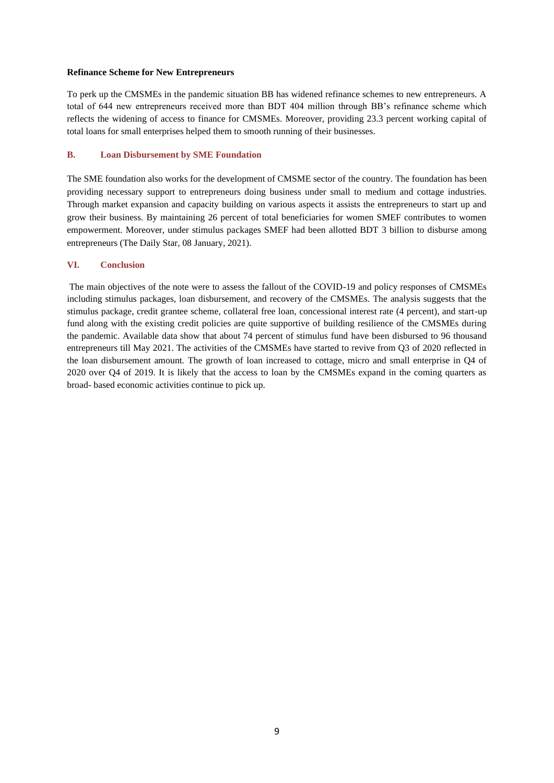### **Refinance Scheme for New Entrepreneurs**

To perk up the CMSMEs in the pandemic situation BB has widened refinance schemes to new entrepreneurs. A total of 644 new entrepreneurs received more than BDT 404 million through BB's refinance scheme which reflects the widening of access to finance for CMSMEs. Moreover, providing 23.3 percent working capital of total loans for small enterprises helped them to smooth running of their businesses.

#### **B. Loan Disbursement by SME Foundation**

The SME foundation also works for the development of CMSME sector of the country. The foundation has been providing necessary support to entrepreneurs doing business under small to medium and cottage industries. Through market expansion and capacity building on various aspects it assists the entrepreneurs to start up and grow their business. By maintaining 26 percent of total beneficiaries for women SMEF contributes to women empowerment. Moreover, under stimulus packages SMEF had been allotted BDT 3 billion to disburse among entrepreneurs (The Daily Star, 08 January, 2021).

#### **VI. Conclusion**

The main objectives of the note were to assess the fallout of the COVID-19 and policy responses of CMSMEs including stimulus packages, loan disbursement, and recovery of the CMSMEs. The analysis suggests that the stimulus package, credit grantee scheme, collateral free loan, concessional interest rate (4 percent), and start-up fund along with the existing credit policies are quite supportive of building resilience of the CMSMEs during the pandemic. Available data show that about 74 percent of stimulus fund have been disbursed to 96 thousand entrepreneurs till May 2021. The activities of the CMSMEs have started to revive from Q3 of 2020 reflected in the loan disbursement amount. The growth of loan increased to cottage, micro and small enterprise in Q4 of 2020 over Q4 of 2019. It is likely that the access to loan by the CMSMEs expand in the coming quarters as broad- based economic activities continue to pick up.